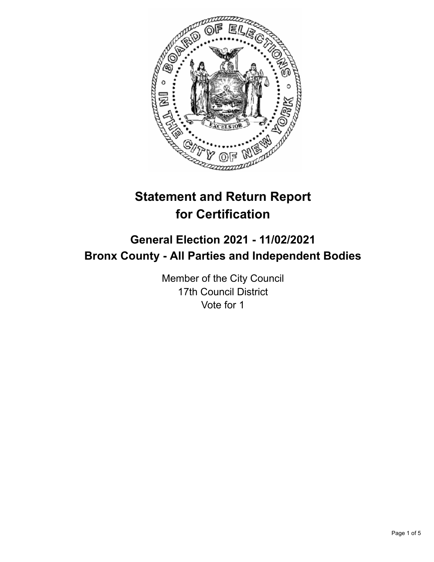

# **Statement and Return Report for Certification**

# **General Election 2021 - 11/02/2021 Bronx County - All Parties and Independent Bodies**

Member of the City Council 17th Council District Vote for 1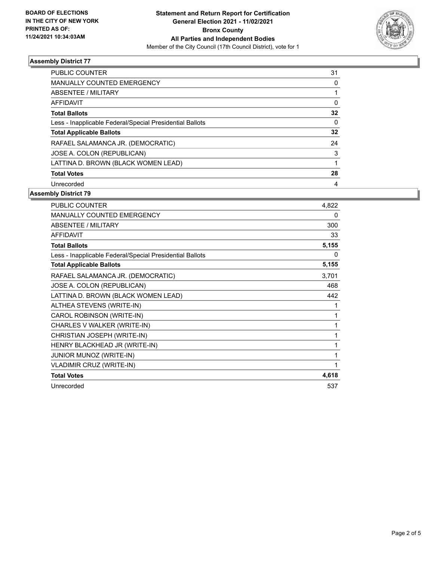

## **Assembly District 77**

| <b>PUBLIC COUNTER</b>                                    | 31       |
|----------------------------------------------------------|----------|
| <b>MANUALLY COUNTED EMERGENCY</b>                        | 0        |
| ABSENTEE / MILITARY                                      |          |
| <b>AFFIDAVIT</b>                                         | 0        |
| <b>Total Ballots</b>                                     | 32       |
| Less - Inapplicable Federal/Special Presidential Ballots | $\Omega$ |
| <b>Total Applicable Ballots</b>                          | 32       |
| RAFAEL SALAMANCA JR. (DEMOCRATIC)                        | 24       |
| JOSE A. COLON (REPUBLICAN)                               | 3        |
| LATTINA D. BROWN (BLACK WOMEN LEAD)                      |          |
| <b>Total Votes</b>                                       | 28       |
| Unrecorded                                               | 4        |

#### **Assembly District 79**

| PUBLIC COUNTER                                           | 4,822 |
|----------------------------------------------------------|-------|
| <b>MANUALLY COUNTED EMERGENCY</b>                        | 0     |
| ABSENTEE / MILITARY                                      | 300   |
| <b>AFFIDAVIT</b>                                         | 33    |
| <b>Total Ballots</b>                                     | 5,155 |
| Less - Inapplicable Federal/Special Presidential Ballots | 0     |
| <b>Total Applicable Ballots</b>                          | 5,155 |
| RAFAEL SALAMANCA JR. (DEMOCRATIC)                        | 3,701 |
| JOSE A. COLON (REPUBLICAN)                               | 468   |
| LATTINA D. BROWN (BLACK WOMEN LEAD)                      | 442   |
| ALTHEA STEVENS (WRITE-IN)                                | 1     |
| CAROL ROBINSON (WRITE-IN)                                | 1     |
| CHARLES V WALKER (WRITE-IN)                              | 1     |
| CHRISTIAN JOSEPH (WRITE-IN)                              | 1     |
| HENRY BLACKHEAD JR (WRITE-IN)                            | 1     |
| JUNIOR MUNOZ (WRITE-IN)                                  | 1     |
| <b>VLADIMIR CRUZ (WRITE-IN)</b>                          | 1     |
| <b>Total Votes</b>                                       | 4,618 |
| Unrecorded                                               | 537   |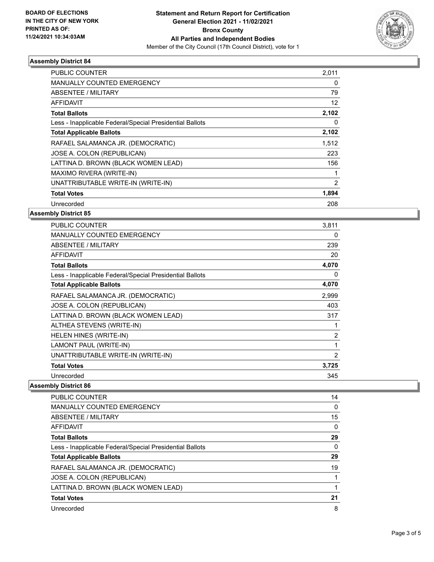

## **Assembly District 84**

| <b>PUBLIC COUNTER</b>                                    | 2,011 |
|----------------------------------------------------------|-------|
| <b>MANUALLY COUNTED EMERGENCY</b>                        | 0     |
| ABSENTEE / MILITARY                                      | 79    |
| <b>AFFIDAVIT</b>                                         | 12    |
| <b>Total Ballots</b>                                     | 2,102 |
| Less - Inapplicable Federal/Special Presidential Ballots | 0     |
| <b>Total Applicable Ballots</b>                          | 2,102 |
| RAFAEL SALAMANCA JR. (DEMOCRATIC)                        | 1,512 |
| JOSE A. COLON (REPUBLICAN)                               | 223   |
| LATTINA D. BROWN (BLACK WOMEN LEAD)                      | 156   |
| MAXIMO RIVERA (WRITE-IN)                                 |       |
| UNATTRIBUTABLE WRITE-IN (WRITE-IN)                       | 2     |
| <b>Total Votes</b>                                       | 1,894 |
| Unrecorded                                               | 208   |

## **Assembly District 85**

| PUBLIC COUNTER                                           | 3,811          |
|----------------------------------------------------------|----------------|
| <b>MANUALLY COUNTED EMERGENCY</b>                        | 0              |
| <b>ABSENTEE / MILITARY</b>                               | 239            |
| <b>AFFIDAVIT</b>                                         | 20             |
| <b>Total Ballots</b>                                     | 4,070          |
| Less - Inapplicable Federal/Special Presidential Ballots | 0              |
| <b>Total Applicable Ballots</b>                          | 4,070          |
| RAFAEL SALAMANCA JR. (DEMOCRATIC)                        | 2,999          |
| JOSE A. COLON (REPUBLICAN)                               | 403            |
| LATTINA D. BROWN (BLACK WOMEN LEAD)                      | 317            |
| ALTHEA STEVENS (WRITE-IN)                                | 1              |
| HELEN HINES (WRITE-IN)                                   | $\overline{2}$ |
| LAMONT PAUL (WRITE-IN)                                   | 1              |
| UNATTRIBUTABLE WRITE-IN (WRITE-IN)                       | 2              |
| <b>Total Votes</b>                                       | 3,725          |
| Unrecorded                                               | 345            |

## **Assembly District 86**

| <b>PUBLIC COUNTER</b>                                    | 14 |
|----------------------------------------------------------|----|
| <b>MANUALLY COUNTED EMERGENCY</b>                        | 0  |
| ABSENTEE / MILITARY                                      | 15 |
| AFFIDAVIT                                                | 0  |
| <b>Total Ballots</b>                                     | 29 |
| Less - Inapplicable Federal/Special Presidential Ballots | 0  |
| <b>Total Applicable Ballots</b>                          | 29 |
| RAFAEL SALAMANCA JR. (DEMOCRATIC)                        | 19 |
| JOSE A. COLON (REPUBLICAN)                               |    |
| LATTINA D. BROWN (BLACK WOMEN LEAD)                      |    |
| <b>Total Votes</b>                                       | 21 |
| Unrecorded                                               | 8  |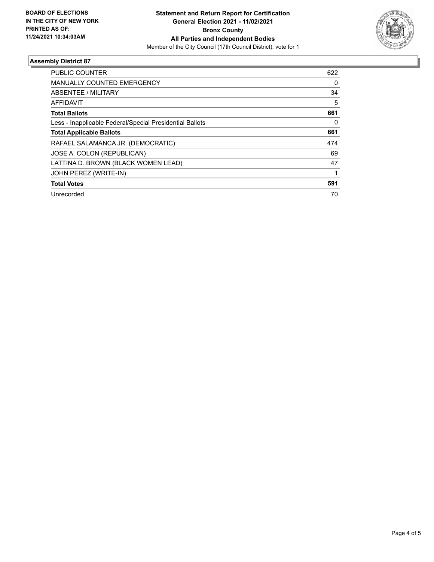

## **Assembly District 87**

| <b>PUBLIC COUNTER</b>                                    | 622 |
|----------------------------------------------------------|-----|
| <b>MANUALLY COUNTED EMERGENCY</b>                        | 0   |
| ABSENTEE / MILITARY                                      | 34  |
| AFFIDAVIT                                                | 5   |
| <b>Total Ballots</b>                                     | 661 |
| Less - Inapplicable Federal/Special Presidential Ballots | 0   |
| <b>Total Applicable Ballots</b>                          | 661 |
| RAFAEL SALAMANCA JR. (DEMOCRATIC)                        | 474 |
| JOSE A. COLON (REPUBLICAN)                               | 69  |
| LATTINA D. BROWN (BLACK WOMEN LEAD)                      | 47  |
| JOHN PEREZ (WRITE-IN)                                    |     |
| <b>Total Votes</b>                                       | 591 |
| Unrecorded                                               | 70  |